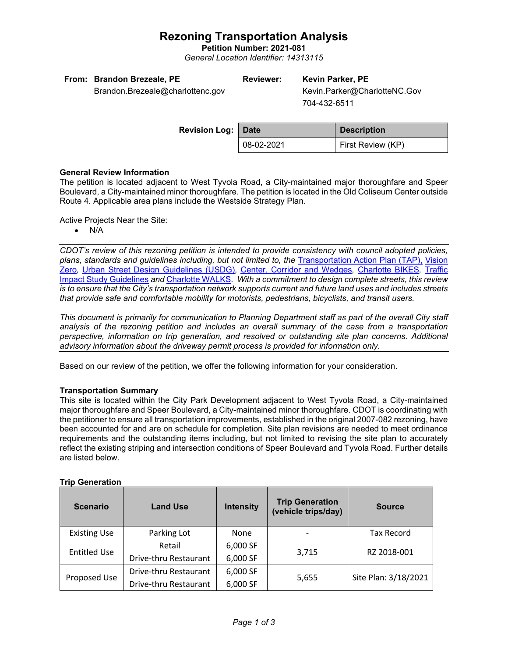## **Rezoning Transportation Analysis**

**Petition Number: 2021-081**

*General Location Identifier: 14313115*

| From: Brandon Brezeale, PE |
|----------------------------|
|                            |

Brandon.Brezeale@charlottenc.gov

# **Reviewer: Kevin Parker, PE**

Kevin.Parker@CharlotteNC.Gov 704-432-6511

| Revision Log: Date |            | <b>Description</b> |
|--------------------|------------|--------------------|
|                    | 08-02-2021 | First Review (KP)  |

### **General Review Information**

The petition is located adjacent to West Tyvola Road, a City-maintained major thoroughfare and Speer Boulevard, a City-maintained minor thoroughfare. The petition is located in the Old Coliseum Center outside Route 4. Applicable area plans include the Westside Strategy Plan.

Active Projects Near the Site:

• N/A

*CDOT's review of this rezoning petition is intended to provide consistency with council adopted policies, plans, standards and guidelines including, but not limited to, the* [Transportation Action Plan \(TAP\),](https://charlottenc.gov/Transportation/Programs/Pages/TransportationActionPlan.aspx) [Vision](https://charlottenc.gov/VisionZero/Pages/VisionZero.aspx)  [Zero](https://charlottenc.gov/VisionZero/Pages/VisionZero.aspx)*,* [Urban Street Design Guidelines \(USDG\)](https://charlottenc.gov/Transportation/PlansProjects/Documents/USDG%20Full%20Document.pdf)*,* [Center, Corridor and](http://ww.charmeck.org/Planning/Land%20Use%20Planning/CentersCorridorsWedges/CentersCorridorsWedges(Adopted).pdf) Wedges*,* [Charlotte BIKES](https://charlottenc.gov/Transportation/Programs/Pages/Bicycle.aspx)*,* [Traffic](https://charlottenc.gov/Transportation/Permits/Documents/TISProcessandGuildlines.pdf)  [Impact Study Guidelines](https://charlottenc.gov/Transportation/Permits/Documents/TISProcessandGuildlines.pdf) *and* [Charlotte WALKS](https://charlottenc.gov/Transportation/Programs/Pages/CharlotteWalks.aspx)*. With a commitment to design complete streets, this review is to ensure that the City's transportation network supports current and future land uses and includes streets that provide safe and comfortable mobility for motorists, pedestrians, bicyclists, and transit users.*

*This document is primarily for communication to Planning Department staff as part of the overall City staff analysis of the rezoning petition and includes an overall summary of the case from a transportation perspective, information on trip generation, and resolved or outstanding site plan concerns. Additional advisory information about the driveway permit process is provided for information only.*

Based on our review of the petition, we offer the following information for your consideration.

### **Transportation Summary**

This site is located within the City Park Development adjacent to West Tyvola Road, a City-maintained major thoroughfare and Speer Boulevard, a City-maintained minor thoroughfare. CDOT is coordinating with the petitioner to ensure all transportation improvements, established in the original 2007-082 rezoning, have been accounted for and are on schedule for completion. Site plan revisions are needed to meet ordinance requirements and the outstanding items including, but not limited to revising the site plan to accurately reflect the existing striping and intersection conditions of Speer Boulevard and Tyvola Road. Further details are listed below.

### **Trip Generation**

| <b>Scenario</b>     | <b>Land Use</b>       | <b>Intensity</b> | <b>Trip Generation</b><br>(vehicle trips/day) | <b>Source</b>        |  |
|---------------------|-----------------------|------------------|-----------------------------------------------|----------------------|--|
| <b>Existing Use</b> | Parking Lot           | <b>None</b>      |                                               | <b>Tax Record</b>    |  |
| <b>Entitled Use</b> | Retail                | 6,000 SF         |                                               | RZ 2018-001          |  |
|                     | Drive-thru Restaurant | 6,000 SF         | 3,715                                         |                      |  |
| Proposed Use        | Drive-thru Restaurant | 6,000 SF         |                                               | Site Plan: 3/18/2021 |  |
|                     | Drive-thru Restaurant | 6,000 SF         | 5,655                                         |                      |  |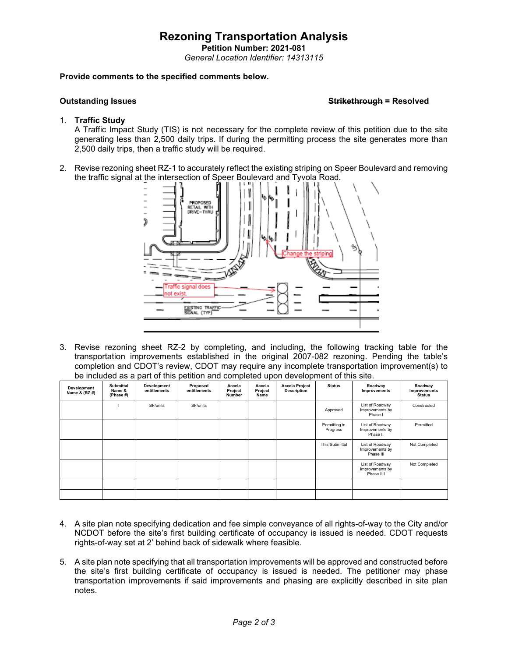## **Rezoning Transportation Analysis**

**Petition Number: 2021-081** *General Location Identifier: 14313115*

#### **Provide comments to the specified comments below.**

#### **Outstanding Issues Strikethrough = Resolved**

#### 1. **Traffic Study**

A Traffic Impact Study (TIS) is not necessary for the complete review of this petition due to the site generating less than 2,500 daily trips. If during the permitting process the site generates more than 2,500 daily trips, then a traffic study will be required.

2. Revise rezoning sheet RZ-1 to accurately reflect the existing striping on Speer Boulevard and removing the traffic signal at the intersection of Speer Boulevard and Tyvola Road.



3. Revise rezoning sheet RZ-2 by completing, and including, the following tracking table for the transportation improvements established in the original 2007-082 rezoning. Pending the table's completion and CDOT's review, CDOT may require any incomplete transportation improvement(s) to be included as a part of this petition and completed upon development of this site.

| Development<br>Name & (RZ #) | <b>Submittal</b><br>Name &<br>(Phase #) | Development<br>entitlements | Proposed<br>entitlements | Accela<br>Project<br>Number | Accela<br>Project<br>Name | <b>Accela Project</b><br><b>Description</b> | <b>Status</b>             | Roadway<br>Improvements                          | Roadway<br>Improvements<br><b>Status</b> |
|------------------------------|-----------------------------------------|-----------------------------|--------------------------|-----------------------------|---------------------------|---------------------------------------------|---------------------------|--------------------------------------------------|------------------------------------------|
|                              |                                         | SF/units                    | SF/units                 |                             |                           |                                             | Approved                  | List of Roadway<br>Improvements by<br>Phase I    | Constructed                              |
|                              |                                         |                             |                          |                             |                           |                                             | Permitting in<br>Progress | List of Roadway<br>Improvements by<br>Phase II   | Permitted                                |
|                              |                                         |                             |                          |                             |                           |                                             | This Submittal            | List of Roadway<br>Improvements by<br>Phase III  | Not Completed                            |
|                              |                                         |                             |                          |                             |                           |                                             |                           | List of Roadway<br>Improvements by<br>Phase IIII | Not Completed                            |
|                              |                                         |                             |                          |                             |                           |                                             |                           |                                                  |                                          |
|                              |                                         |                             |                          |                             |                           |                                             |                           |                                                  |                                          |

- 4. A site plan note specifying dedication and fee simple conveyance of all rights-of-way to the City and/or NCDOT before the site's first building certificate of occupancy is issued is needed. CDOT requests rights-of-way set at 2' behind back of sidewalk where feasible.
- 5. A site plan note specifying that all transportation improvements will be approved and constructed before the site's first building certificate of occupancy is issued is needed. The petitioner may phase transportation improvements if said improvements and phasing are explicitly described in site plan notes.